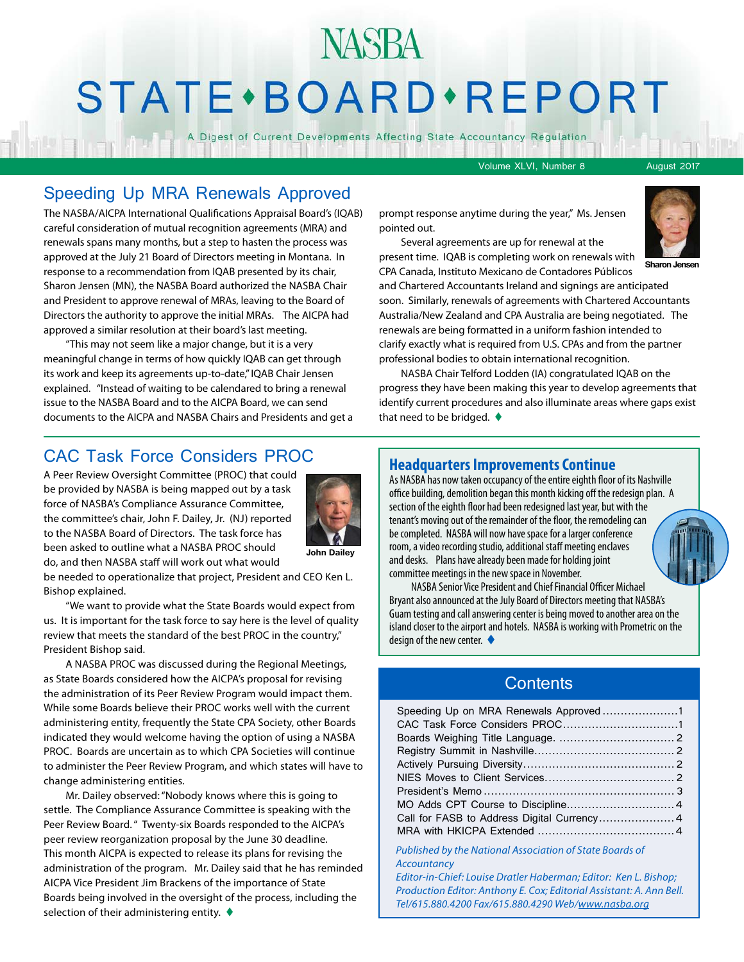## NASBA STATE · BOARD · REPORT

A Digest of Current Developments Affecting State Accountancy Regulation

Volume XLVI, Number 8 August 2017

#### Speeding Up MRA Renewals Approved

The NASBA/AICPA International Qualifications Appraisal Board's (IQAB) careful consideration of mutual recognition agreements (MRA) and renewals spans many months, but a step to hasten the process was approved at the July 21 Board of Directors meeting in Montana. In response to a recommendation from IQAB presented by its chair, Sharon Jensen (MN), the NASBA Board authorized the NASBA Chair and President to approve renewal of MRAs, leaving to the Board of Directors the authority to approve the initial MRAs. The AICPA had approved a similar resolution at their board's last meeting.

"This may not seem like a major change, but it is a very meaningful change in terms of how quickly IQAB can get through its work and keep its agreements up-to-date," IQAB Chair Jensen explained. "Instead of waiting to be calendared to bring a renewal issue to the NASBA Board and to the AICPA Board, we can send documents to the AICPA and NASBA Chairs and Presidents and get a prompt response anytime during the year," Ms. Jensen pointed out.



**Sharon Jensen**

Several agreements are up for renewal at the present time. IQAB is completing work on renewals with CPA Canada, Instituto Mexicano de Contadores Públicos

and Chartered Accountants Ireland and signings are anticipated soon. Similarly, renewals of agreements with Chartered Accountants Australia/New Zealand and CPA Australia are being negotiated. The renewals are being formatted in a uniform fashion intended to clarify exactly what is required from U.S. CPAs and from the partner professional bodies to obtain international recognition.

NASBA Chair Telford Lodden (IA) congratulated IQAB on the progress they have been making this year to develop agreements that identify current procedures and also illuminate areas where gaps exist that need to be bridged.  $\blacklozenge$ 

#### CAC Task Force Considers PROC

A Peer Review Oversight Committee (PROC) that could be provided by NASBA is being mapped out by a task force of NASBA's Compliance Assurance Committee, the committee's chair, John F. Dailey, Jr. (NJ) reported to the NASBA Board of Directors. The task force has been asked to outline what a NASBA PROC should do, and then NASBA staff will work out what would



**John Dailey**

be needed to operationalize that project, President and CEO Ken L. Bishop explained.

"We want to provide what the State Boards would expect from us. It is important for the task force to say here is the level of quality review that meets the standard of the best PROC in the country," President Bishop said.

A NASBA PROC was discussed during the Regional Meetings, as State Boards considered how the AICPA's proposal for revising the administration of its Peer Review Program would impact them. While some Boards believe their PROC works well with the current administering entity, frequently the State CPA Society, other Boards indicated they would welcome having the option of using a NASBA PROC. Boards are uncertain as to which CPA Societies will continue to administer the Peer Review Program, and which states will have to change administering entities.

Mr. Dailey observed: "Nobody knows where this is going to settle. The Compliance Assurance Committee is speaking with the Peer Review Board. " Twenty-six Boards responded to the AICPA's peer review reorganization proposal by the June 30 deadline. This month AICPA is expected to release its plans for revising the administration of the program. Mr. Dailey said that he has reminded AICPA Vice President Jim Brackens of the importance of State Boards being involved in the oversight of the process, including the selection of their administering entity.  $\blacklozenge$ 

#### **Headquarters Improvements Continue**

As NASBA has now taken occupancy of the entire eighth floor of its Nashville office building, demolition began this month kicking off the redesign plan. A section of the eighth floor had been redesigned last year, but with the tenant's moving out of the remainder of the floor, the remodeling can be completed. NASBA will now have space for a larger conference room, a video recording studio, additional staff meeting enclaves and desks. Plans have already been made for holding joint committee meetings in the new space in November.

NASBA Senior Vice President and Chief Financial Officer Michael Bryant also announced at the July Board of Directors meeting that NASBA's Guam testing and call answering center is being moved to another area on the island closer to the airport and hotels. NASBA is working with Prometric on the design of the new center.  $\blacklozenge$ 

#### **Contents**

| Speeding Up on MRA Renewals Approved 1      |  |
|---------------------------------------------|--|
|                                             |  |
|                                             |  |
|                                             |  |
|                                             |  |
|                                             |  |
|                                             |  |
|                                             |  |
| Call for FASB to Address Digital Currency 4 |  |
|                                             |  |
|                                             |  |

*Published by the National Association of State Boards of Accountancy*

*Editor-in-Chief: Louise Dratler Haberman; Editor: Ken L. Bishop; Production Editor: Anthony E. Cox; Editorial Assistant: A. Ann Bell. Tel/615.880.4200 Fax/615.880.4290 Web/[www.nasba.org](http://www.nasba.org)*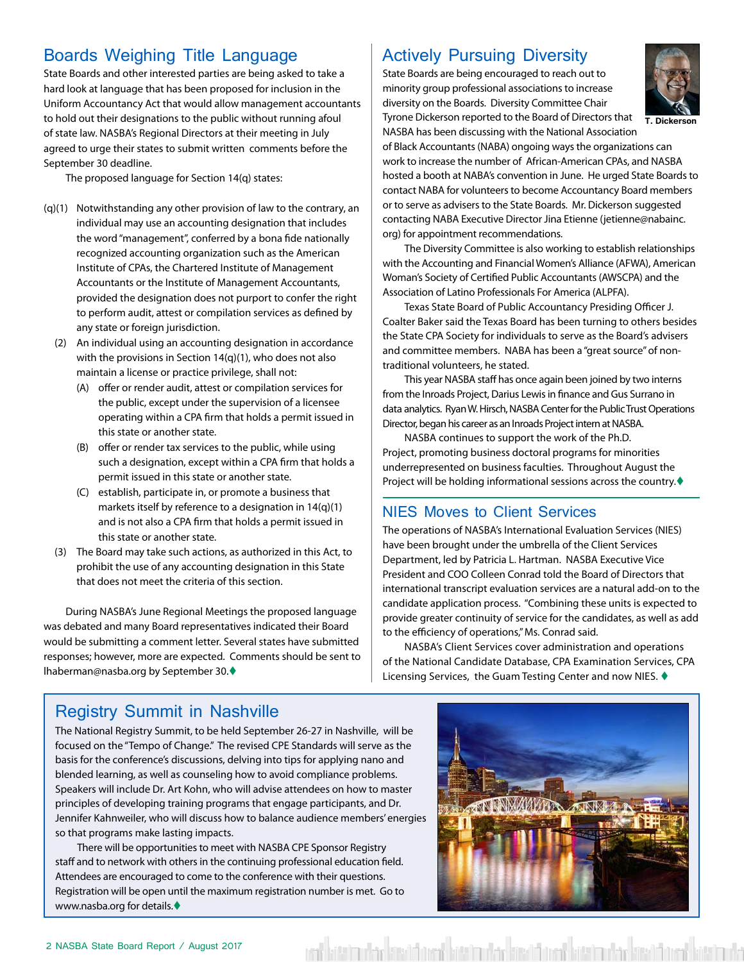#### <span id="page-1-0"></span>Boards Weighing Title Language

State Boards and other interested parties are being asked to take a hard look at language that has been proposed for inclusion in the Uniform Accountancy Act that would allow management accountants to hold out their designations to the public without running afoul of state law. NASBA's Regional Directors at their meeting in July agreed to urge their states to submit written comments before the September 30 deadline.

The proposed language for Section 14(q) states:

- (q)(1) Notwithstanding any other provision of law to the contrary, an individual may use an accounting designation that includes the word "management", conferred by a bona fide nationally recognized accounting organization such as the American Institute of CPAs, the Chartered Institute of Management Accountants or the Institute of Management Accountants, provided the designation does not purport to confer the right to perform audit, attest or compilation services as defined by any state or foreign jurisdiction.
	- (2) An individual using an accounting designation in accordance with the provisions in Section 14(q)(1), who does not also maintain a license or practice privilege, shall not:
		- (A) offer or render audit, attest or compilation services for the public, except under the supervision of a licensee operating within a CPA firm that holds a permit issued in this state or another state.
		- (B) offer or render tax services to the public, while using such a designation, except within a CPA firm that holds a permit issued in this state or another state.
		- (C) establish, participate in, or promote a business that markets itself by reference to a designation in 14(q)(1) and is not also a CPA firm that holds a permit issued in this state or another state.
	- (3) The Board may take such actions, as authorized in this Act, to prohibit the use of any accounting designation in this State that does not meet the criteria of this section.

During NASBA's June Regional Meetings the proposed language was debated and many Board representatives indicated their Board would be submitting a comment letter. Several states have submitted responses; however, more are expected. Comments should be sent to lhaberman@nasba.org by September 30.♦

#### Actively Pursuing Diversity

State Boards are being encouraged to reach out to minority group professional associations to increase diversity on the Boards. Diversity Committee Chair Tyrone Dickerson reported to the Board of Directors that



**T. Dickerson**

NASBA has been discussing with the National Association of Black Accountants (NABA) ongoing ways the organizations can work to increase the number of African-American CPAs, and NASBA hosted a booth at NABA's convention in June. He urged State Boards to contact NABA for volunteers to become Accountancy Board members or to serve as advisers to the State Boards. Mr. Dickerson suggested contacting NABA Executive Director Jina Etienne (jetienne@nabainc. org) for appointment recommendations.

The Diversity Committee is also working to establish relationships with the Accounting and Financial Women's Alliance (AFWA), American Woman's Society of Certified Public Accountants (AWSCPA) and the Association of Latino Professionals For America (ALPFA).

Texas State Board of Public Accountancy Presiding Officer J. Coalter Baker said the Texas Board has been turning to others besides the State CPA Society for individuals to serve as the Board's advisers and committee members. NABA has been a "great source" of nontraditional volunteers, he stated.

This year NASBA staff has once again been joined by two interns from the Inroads Project, Darius Lewis in finance and Gus Surrano in data analytics. Ryan W. Hirsch, NASBA Center for the Public Trust Operations Director, began his career as an Inroads Project intern at NASBA.

NASBA continues to support the work of the Ph.D. Project, promoting business doctoral programs for minorities underrepresented on business faculties. Throughout August the Project will be holding informational sessions across the country. $\blacklozenge$ 

#### NIES Moves to Client Services

The operations of NASBA's International Evaluation Services (NIES) have been brought under the umbrella of the Client Services Department, led by Patricia L. Hartman. NASBA Executive Vice President and COO Colleen Conrad told the Board of Directors that international transcript evaluation services are a natural add-on to the candidate application process. "Combining these units is expected to provide greater continuity of service for the candidates, as well as add to the efficiency of operations," Ms. Conrad said.

NASBA's Client Services cover administration and operations of the National Candidate Database, CPA Examination Services, CPA Licensing Services, the Guam Testing Center and now NIES.  $\blacklozenge$ 

#### Registry Summit in Nashville

The National Registry Summit, to be held September 26-27 in Nashville, will be focused on the "Tempo of Change." The revised CPE Standards will serve as the basis for the conference's discussions, delving into tips for applying nano and blended learning, as well as counseling how to avoid compliance problems. Speakers will include Dr. Art Kohn, who will advise attendees on how to master principles of developing training programs that engage participants, and Dr. Jennifer Kahnweiler, who will discuss how to balance audience members' energies so that programs make lasting impacts.

There will be opportunities to meet with NASBA CPE Sponsor Registry staff and to network with others in the continuing professional education field. Attendees are encouraged to come to the conference with their questions. Registration will be open until the maximum registration number is met. Go to www.nasba.org for details.



est mucha latente latente la establecia latente la establecia la continua la establecia de la establecia de la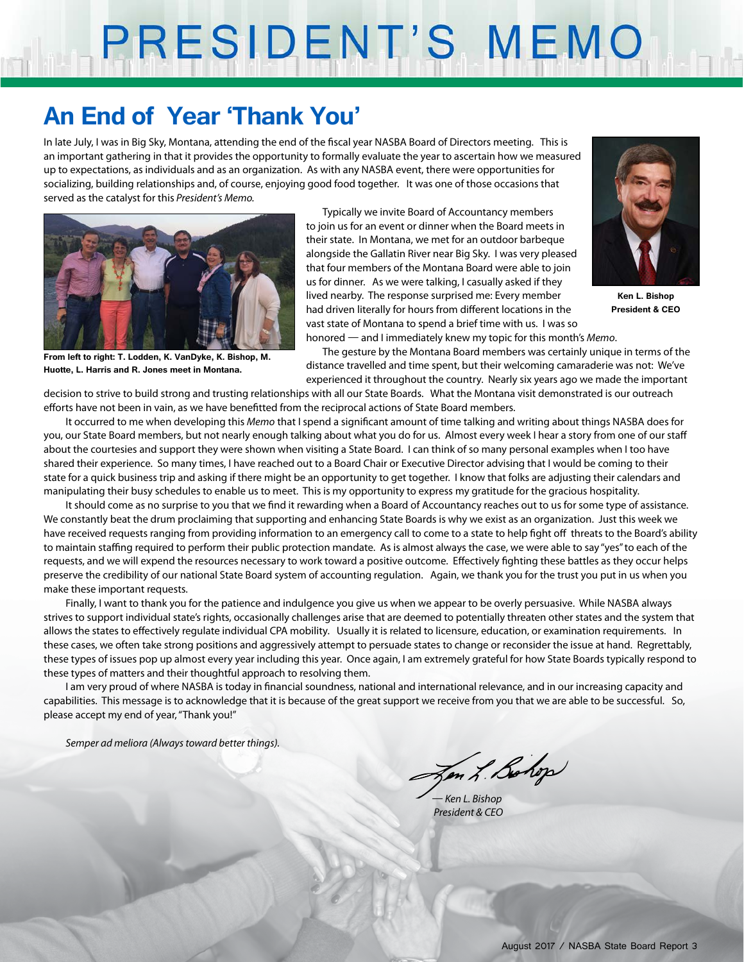# PRESIDENT'S MEMO

### **An End of Year 'Thank You'**

In late July, I was in Big Sky, Montana, attending the end of the fiscal year NASBA Board of Directors meeting. This is an important gathering in that it provides the opportunity to formally evaluate the year to ascertain how we measured up to expectations, as individuals and as an organization. As with any NASBA event, there were opportunities for socializing, building relationships and, of course, enjoying good food together. It was one of those occasions that served as the catalyst for this *President's Memo.*



**From left to right: T. Lodden, K. VanDyke, K. Bishop, M. Huotte, L. Harris and R. Jones meet in Montana.**

Typically we invite Board of Accountancy members to join us for an event or dinner when the Board meets in their state. In Montana, we met for an outdoor barbeque alongside the Gallatin River near Big Sky. I was very pleased that four members of the Montana Board were able to join us for dinner. As we were talking, I casually asked if they lived nearby. The response surprised me: Every member had driven literally for hours from different locations in the vast state of Montana to spend a brief time with us. I was so



**Ken L. Bishop President & CEO**

honored — and I immediately knew my topic for this month's *Memo*.

The gesture by the Montana Board members was certainly unique in terms of the distance travelled and time spent, but their welcoming camaraderie was not: We've experienced it throughout the country. Nearly six years ago we made the important

decision to strive to build strong and trusting relationships with all our State Boards. What the Montana visit demonstrated is our outreach efforts have not been in vain, as we have benefitted from the reciprocal actions of State Board members.

It occurred to me when developing this *Memo* that I spend a significant amount of time talking and writing about things NASBA does for you, our State Board members, but not nearly enough talking about what you do for us. Almost every week I hear a story from one of our staff about the courtesies and support they were shown when visiting a State Board. I can think of so many personal examples when I too have shared their experience. So many times, I have reached out to a Board Chair or Executive Director advising that I would be coming to their state for a quick business trip and asking if there might be an opportunity to get together. I know that folks are adjusting their calendars and manipulating their busy schedules to enable us to meet. This is my opportunity to express my gratitude for the gracious hospitality.

It should come as no surprise to you that we find it rewarding when a Board of Accountancy reaches out to us for some type of assistance. We constantly beat the drum proclaiming that supporting and enhancing State Boards is why we exist as an organization. Just this week we have received requests ranging from providing information to an emergency call to come to a state to help fight off threats to the Board's ability to maintain staffing required to perform their public protection mandate. As is almost always the case, we were able to say "yes" to each of the requests, and we will expend the resources necessary to work toward a positive outcome. Effectively fighting these battles as they occur helps preserve the credibility of our national State Board system of accounting regulation. Again, we thank you for the trust you put in us when you make these important requests.

Finally, I want to thank you for the patience and indulgence you give us when we appear to be overly persuasive. While NASBA always strives to support individual state's rights, occasionally challenges arise that are deemed to potentially threaten other states and the system that allows the states to effectively regulate individual CPA mobility. Usually it is related to licensure, education, or examination requirements. In these cases, we often take strong positions and aggressively attempt to persuade states to change or reconsider the issue at hand. Regrettably, these types of issues pop up almost every year including this year. Once again, I am extremely grateful for how State Boards typically respond to these types of matters and their thoughtful approach to resolving them.

I am very proud of where NASBA is today in financial soundness, national and international relevance, and in our increasing capacity and capabilities. This message is to acknowledge that it is because of the great support we receive from you that we are able to be successful. So, please accept my end of year, "Thank you!"

*Semper ad meliora (Always toward better things).*

Jen L. Bohop

*— Ken L. Bishop President & CEO*